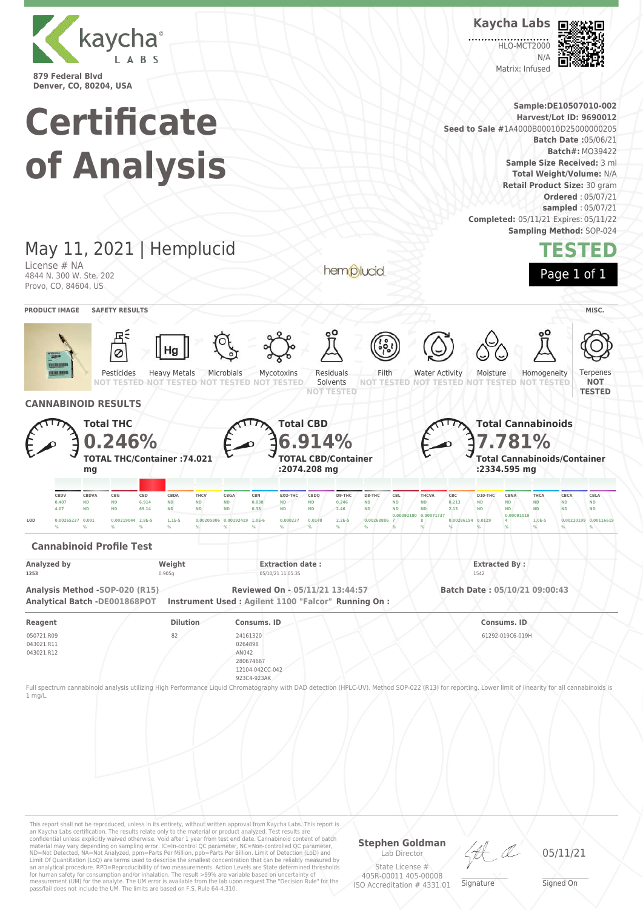

**Kaycha Labs**

**HLO-MCT2000**  $N/L$ 

Matrix: Infused



**Sample:DE10507010-002 Certificate Harvest/Lot ID: 9690012 Seed to Sale #**1A4000B00010D25000000205 **Batch Date :**05/06/21 **Batch#:** MO39422 **of Analysis Sample Size Received:** 3 ml **Total Weight/Volume:** N/A **Retail Product Size:** 30 gram **Ordered** : 05/07/21 **sampled** : 05/07/21 **Completed:** 05/11/21 Expires: 05/11/22 **Sampling Method:** SOP-024 May 11, 2021 | Hemplucid **TESTED** License # NA hemplucid Page 1 of 1 4844 N. 300 W. Ste. 202 Provo, CO, 84604, US **PRODUCT IMAGE SAFETY RESULTS MISC.** Pesticides Heavy Metals Microbials Mycotoxins Residuals Filth Water Activity Moisture Homogeneity Terpenes Solvents **NOT NOT TESTED NOT TESTED NOT TESTED NOT TESTED NOT TESTED NOT TESTED NOT TESTED NOT TESTED NOT TESTED TESTED CANNABINOID RESULTS Total THC Total CBD Total Cannabinoids 6.914% 7.781% 0.246% TOTAL THC/Container :74.021 TOTAL CBD/Container Total Cannabinoids/Container :2074.208 mg :2334.595 mg mg** CBDV CBDVA CBG CBD CBDA THCV CBGA CBN EXO-THC CBDQ D9-THC D8-THC CBL THCVA CBC D10-THC CBNA THCA CBCA CBLA **0.407 ND ND 6.914 ND ND ND 0.038 ND ND 0.246 ND ND ND 0.213 ND ND ND ND ND 4.07 ND ND 69.14 ND ND ND 0.38 ND ND 2.46 ND ND ND 2.13 ND ND ND ND ND 0.00092180 0.00071737 0.00091019 8 0.00286194 0.0129 4 1.0E-5 0.00210199 0.00116619 LOD 0.00265237 0.001 0.00219044 2.8E-5 1.1E-5 0.00205806 0.00192419 1.0E-6 0.000237 0.0148 2.2E-5 0.00268886 7 % % % % % % % % % % % % % % % % % % % % Cannabinoid Profile Test Analyzed by Weight Extraction date : Extraction date : Extracted By : Extracted By : Extracted By** : **1253** 0.905g 05/10/21 11:05:35 1542 **Analysis Method -SOP-020 (R15) Reviewed On - 05/11/21 13:44:57 Batch Date : 05/10/21 09:00:43 Analytical Batch -DE001868POT Instrument Used : Agilent 1100 "Falcor" Running On : Reagent Dilution Consums. ID Consums. ID** 050721.R09 82 24161320 61292-019C6-019H 043021.R11 0264898 043021.R12 AN042 280674667 12104-042CC-042 923C4-923AK Full spectrum cannabinoid analysis utilizing High Performance Liquid Chromatography with DAD detection (HPLC-UV). Method SOP-022 (R13) for reporting. Lower limit of linearity for all cannabinoids is 1 mg/L.

This report shall not be reproduced, unless in its entirety, without written approval from Kaycha Labs. This report is an Kaycha Labs certification. The results relate only to the material or product analyzed. Test results are<br>confidential unless explicitly waived otherwise. Void after 1 year from test end date. Cannabinoid content of bat Limit Of Quantitation (LoQ) are terms used to describe the smallest concentration that can be reliably measured by an analytical procedure. RPD=Reproducibility of two measurements. Action Levels are State determined thresholds for human safety for consumption and/or inhalation. The result >99% are variable based on uncertainty of measurement (UM) for the analyte. The UM error is available from the lab upon request.The "Decision Rule" for the pass/fail does not include the UM. The limits are based on F.S. Rule 64-4.310.

**Stephen Goldman**

Lab Director State License # 405R-00011 405-00008 ISO Accreditation # 4331.01 \_\_\_\_\_\_\_\_\_\_\_\_\_\_\_\_\_\_\_ Signature

05/11/21

\_\_\_\_\_\_\_\_\_\_\_\_\_\_\_\_\_\_\_ Signed On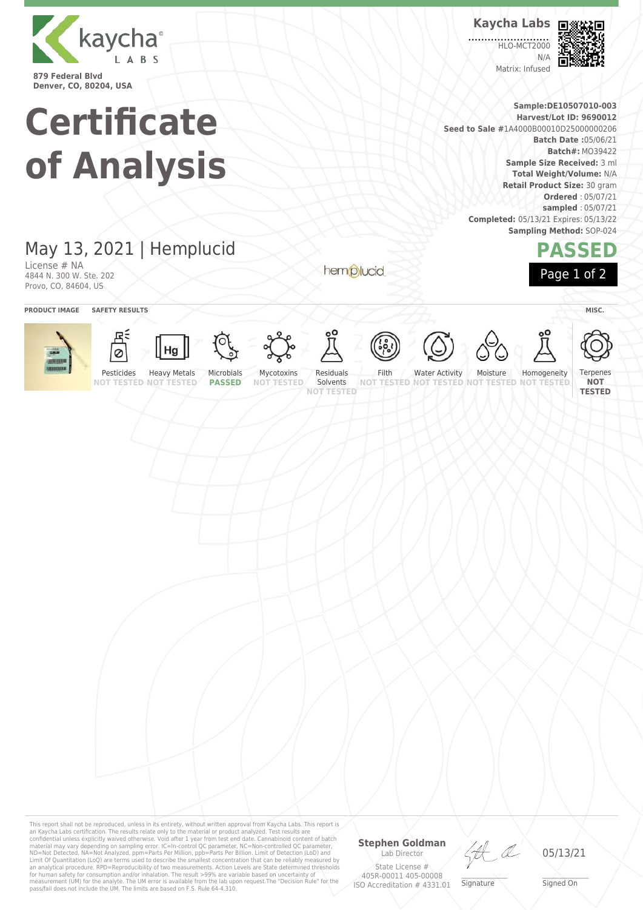

**Kaycha Labs**

**HLO-MCT2000** N/A Matrix: Infused



**PASSED**

Page 1 of 2

**Sample:DE10507010-003 Harvest/Lot ID: 9690012 Seed to Sale #**1A4000B00010D25000000206 **Batch Date :**05/06/21 **Batch#:** MO39422 **Sample Size Received:** 3 ml **Total Weight/Volume:** N/A **Retail Product Size:** 30 gram **Ordered** : 05/07/21 **sampled** : 05/07/21 **Completed:** 05/13/21 Expires: 05/13/22 **Sampling Method:** SOP-024

## May 13, 2021 | Hemplucid

**Certificate**

**of Analysis**

License # NA 4844 N. 300 W. Ste. 202 Provo, CO, 84604, US

hemplucid



This report shall not be reproduced, unless in its entirety, without written approval from Kaycha Labs. This report is an Kaycha Labs certification. The results relate only to the material or product analyzed. Test results are<br>confidential unless explicitly waived otherwise. Void after 1 year from test end date. Cannabinoid content of batc

### **Stephen Goldman** Lab Director

State License # 405R-00011 405-00008 ISO Accreditation # 4331.01

LA

\_\_\_\_\_\_\_\_\_\_\_\_\_\_\_\_\_\_\_ Signature

05/13/21

\_\_\_\_\_\_\_\_\_\_\_\_\_\_\_\_\_\_\_ Signed On